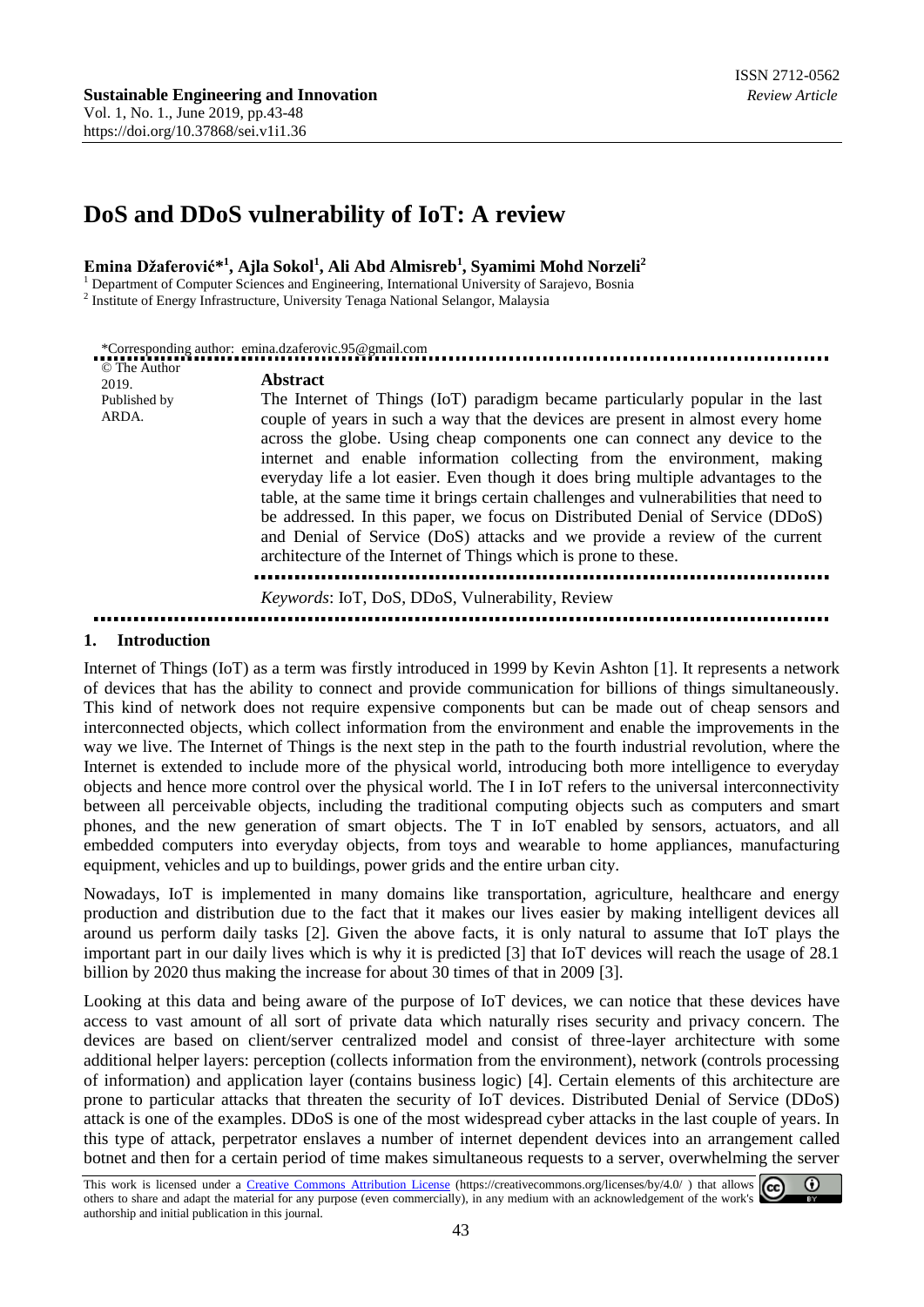# **DoS and DDoS vulnerability of IoT: A review**

#### **Emina Džaferović\* 1 , Ajla Sokol<sup>1</sup> , Ali Abd Almisreb<sup>1</sup> , Syamimi Mohd Norzeli<sup>2</sup>**

<sup>1</sup> Department of Computer Sciences and Engineering, International University of Sarajevo, Bosnia

<sup>2</sup> Institute of Energy Infrastructure, University Tenaga National Selangor, Malaysia

|                                                | *Corresponding author: emina.dzaferovic.95@gmail.com                                                                                                                                                                                                                                                                                                                                                                                                                                                                                                                                                                                                                                                                                                        |
|------------------------------------------------|-------------------------------------------------------------------------------------------------------------------------------------------------------------------------------------------------------------------------------------------------------------------------------------------------------------------------------------------------------------------------------------------------------------------------------------------------------------------------------------------------------------------------------------------------------------------------------------------------------------------------------------------------------------------------------------------------------------------------------------------------------------|
| © The Author<br>2019.<br>Published by<br>ARDA. | <b>Abstract</b><br>The Internet of Things (IoT) paradigm became particularly popular in the last<br>couple of years in such a way that the devices are present in almost every home<br>across the globe. Using cheap components one can connect any device to the<br>internet and enable information collecting from the environment, making<br>everyday life a lot easier. Even though it does bring multiple advantages to the<br>table, at the same time it brings certain challenges and vulnerabilities that need to<br>be addressed. In this paper, we focus on Distributed Denial of Service (DDoS)<br>and Denial of Service (DoS) attacks and we provide a review of the current<br>architecture of the Internet of Things which is prone to these. |
|                                                | Keywords: IoT, DoS, DDoS, Vulnerability, Review                                                                                                                                                                                                                                                                                                                                                                                                                                                                                                                                                                                                                                                                                                             |
|                                                |                                                                                                                                                                                                                                                                                                                                                                                                                                                                                                                                                                                                                                                                                                                                                             |

#### **1. Introduction**

Internet of Things (IoT) as a term was firstly introduced in 1999 by Kevin Ashton [1]. It represents a network of devices that has the ability to connect and provide communication for billions of things simultaneously. This kind of network does not require expensive components but can be made out of cheap sensors and interconnected objects, which collect information from the environment and enable the improvements in the way we live. The Internet of Things is the next step in the path to the fourth industrial revolution, where the Internet is extended to include more of the physical world, introducing both more intelligence to everyday objects and hence more control over the physical world. The I in IoT refers to the universal interconnectivity between all perceivable objects, including the traditional computing objects such as computers and smart phones, and the new generation of smart objects. The T in IoT enabled by sensors, actuators, and all embedded computers into everyday objects, from toys and wearable to home appliances, manufacturing equipment, vehicles and up to buildings, power grids and the entire urban city.

Nowadays, IoT is implemented in many domains like transportation, agriculture, healthcare and energy production and distribution due to the fact that it makes our lives easier by making intelligent devices all around us perform daily tasks [2]. Given the above facts, it is only natural to assume that IoT plays the important part in our daily lives which is why it is predicted [3] that IoT devices will reach the usage of 28.1 billion by 2020 thus making the increase for about 30 times of that in 2009 [3].

Looking at this data and being aware of the purpose of IoT devices, we can notice that these devices have access to vast amount of all sort of private data which naturally rises security and privacy concern. The devices are based on client/server centralized model and consist of three-layer architecture with some additional helper layers: perception (collects information from the environment), network (controls processing of information) and application layer (contains business logic) [4]. Certain elements of this architecture are prone to particular attacks that threaten the security of IoT devices. Distributed Denial of Service (DDoS) attack is one of the examples. DDoS is one of the most widespread cyber attacks in the last couple of years. In this type of attack, perpetrator enslaves a number of internet dependent devices into an arrangement called botnet and then for a certain period of time makes simultaneous requests to a server, overwhelming the server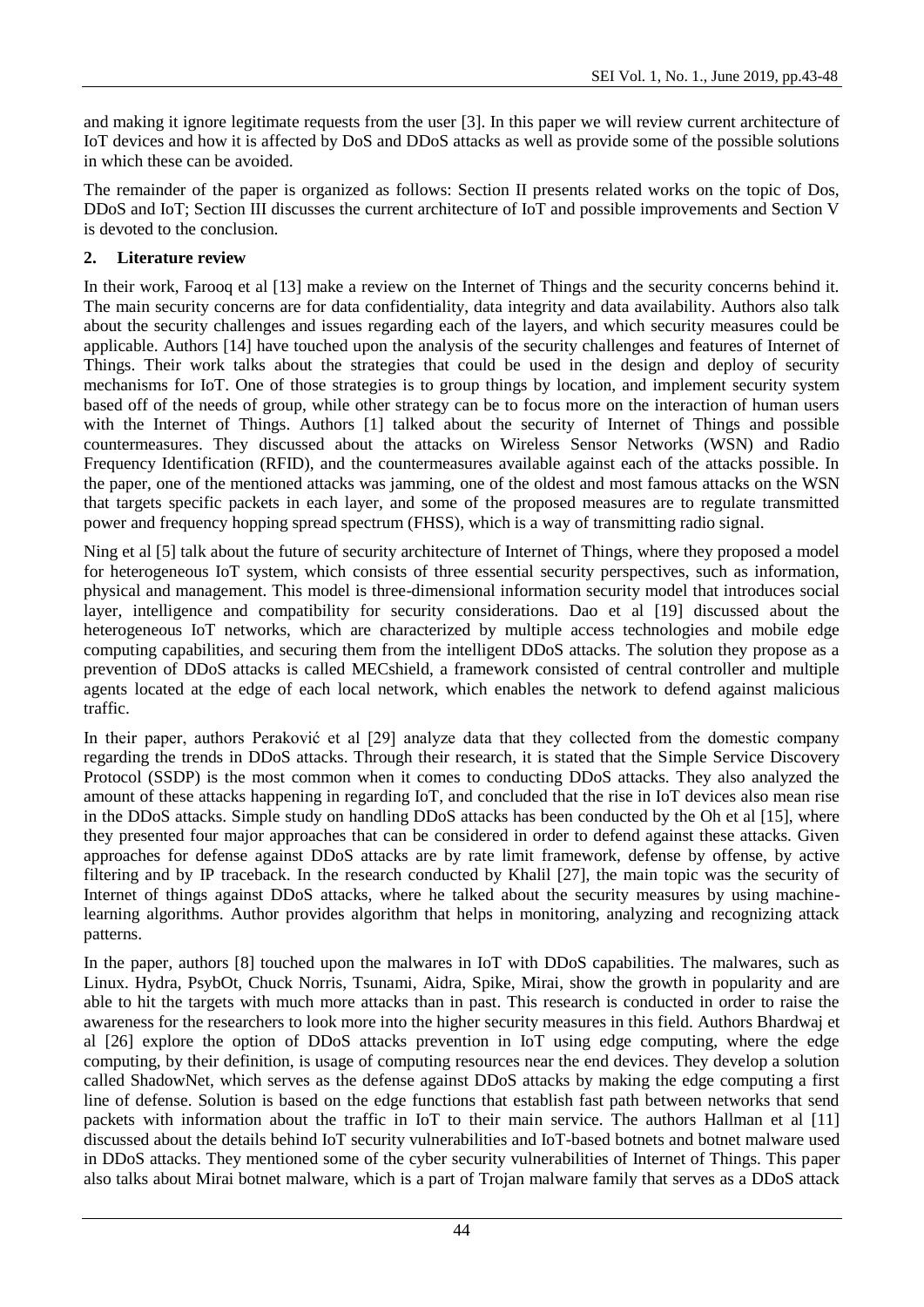and making it ignore legitimate requests from the user [3]. In this paper we will review current architecture of IoT devices and how it is affected by DoS and DDoS attacks as well as provide some of the possible solutions in which these can be avoided.

The remainder of the paper is organized as follows: Section II presents related works on the topic of Dos, DDoS and IoT; Section III discusses the current architecture of IoT and possible improvements and Section V is devoted to the conclusion.

## **2. Literature review**

In their work, Farooq et al [13] make a review on the Internet of Things and the security concerns behind it. The main security concerns are for data confidentiality, data integrity and data availability. Authors also talk about the security challenges and issues regarding each of the layers, and which security measures could be applicable. Authors [14] have touched upon the analysis of the security challenges and features of Internet of Things. Their work talks about the strategies that could be used in the design and deploy of security mechanisms for IoT. One of those strategies is to group things by location, and implement security system based off of the needs of group, while other strategy can be to focus more on the interaction of human users with the Internet of Things. Authors [1] talked about the security of Internet of Things and possible countermeasures. They discussed about the attacks on Wireless Sensor Networks (WSN) and Radio Frequency Identification (RFID), and the countermeasures available against each of the attacks possible. In the paper, one of the mentioned attacks was jamming, one of the oldest and most famous attacks on the WSN that targets specific packets in each layer, and some of the proposed measures are to regulate transmitted power and frequency hopping spread spectrum (FHSS), which is a way of transmitting radio signal.

Ning et al [5] talk about the future of security architecture of Internet of Things, where they proposed a model for heterogeneous IoT system, which consists of three essential security perspectives, such as information, physical and management. This model is three-dimensional information security model that introduces social layer, intelligence and compatibility for security considerations. Dao et al [19] discussed about the heterogeneous IoT networks, which are characterized by multiple access technologies and mobile edge computing capabilities, and securing them from the intelligent DDoS attacks. The solution they propose as a prevention of DDoS attacks is called MECshield, a framework consisted of central controller and multiple agents located at the edge of each local network, which enables the network to defend against malicious traffic.

In their paper, authors Peraković et al [29] analyze data that they collected from the domestic company regarding the trends in DDoS attacks. Through their research, it is stated that the Simple Service Discovery Protocol (SSDP) is the most common when it comes to conducting DDoS attacks. They also analyzed the amount of these attacks happening in regarding IoT, and concluded that the rise in IoT devices also mean rise in the DDoS attacks. Simple study on handling DDoS attacks has been conducted by the Oh et al [15], where they presented four major approaches that can be considered in order to defend against these attacks. Given approaches for defense against DDoS attacks are by rate limit framework, defense by offense, by active filtering and by IP traceback. In the research conducted by Khalil [27], the main topic was the security of Internet of things against DDoS attacks, where he talked about the security measures by using machinelearning algorithms. Author provides algorithm that helps in monitoring, analyzing and recognizing attack patterns.

In the paper, authors [8] touched upon the malwares in IoT with DDoS capabilities. The malwares, such as Linux. Hydra, PsybOt, Chuck Norris, Tsunami, Aidra, Spike, Mirai, show the growth in popularity and are able to hit the targets with much more attacks than in past. This research is conducted in order to raise the awareness for the researchers to look more into the higher security measures in this field. Authors Bhardwaj et al [26] explore the option of DDoS attacks prevention in IoT using edge computing, where the edge computing, by their definition, is usage of computing resources near the end devices. They develop a solution called ShadowNet, which serves as the defense against DDoS attacks by making the edge computing a first line of defense. Solution is based on the edge functions that establish fast path between networks that send packets with information about the traffic in IoT to their main service. The authors Hallman et al [11] discussed about the details behind IoT security vulnerabilities and IoT-based botnets and botnet malware used in DDoS attacks. They mentioned some of the cyber security vulnerabilities of Internet of Things. This paper also talks about Mirai botnet malware, which is a part of Trojan malware family that serves as a DDoS attack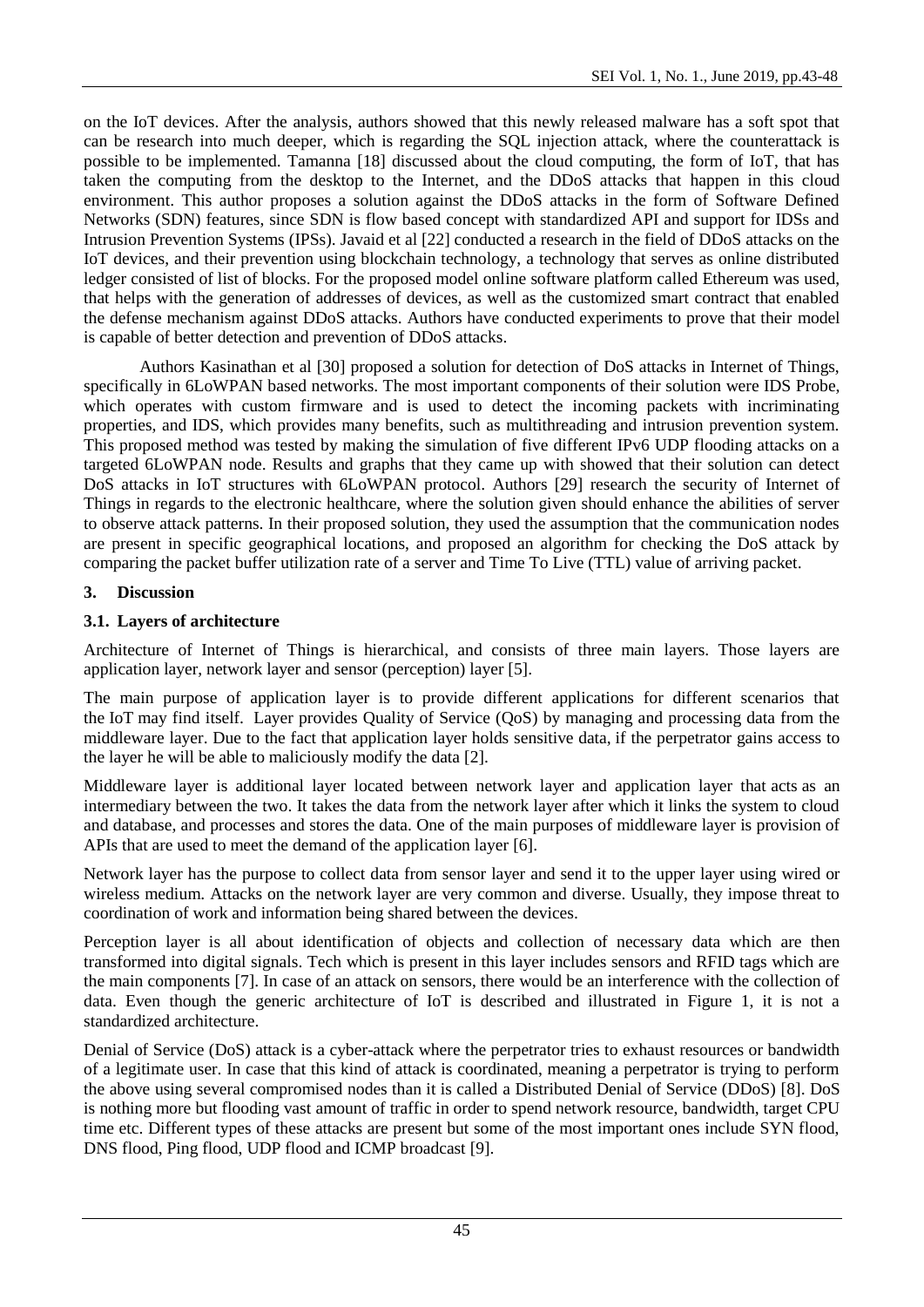on the IoT devices. After the analysis, authors showed that this newly released malware has a soft spot that can be research into much deeper, which is regarding the SQL injection attack, where the counterattack is possible to be implemented. Tamanna [18] discussed about the cloud computing, the form of IoT, that has taken the computing from the desktop to the Internet, and the DDoS attacks that happen in this cloud environment. This author proposes a solution against the DDoS attacks in the form of Software Defined Networks (SDN) features, since SDN is flow based concept with standardized API and support for IDSs and Intrusion Prevention Systems (IPSs). Javaid et al [22] conducted a research in the field of DDoS attacks on the IoT devices, and their prevention using blockchain technology, a technology that serves as online distributed ledger consisted of list of blocks. For the proposed model online software platform called Ethereum was used, that helps with the generation of addresses of devices, as well as the customized smart contract that enabled the defense mechanism against DDoS attacks. Authors have conducted experiments to prove that their model is capable of better detection and prevention of DDoS attacks.

Authors Kasinathan et al [30] proposed a solution for detection of DoS attacks in Internet of Things, specifically in 6LoWPAN based networks. The most important components of their solution were IDS Probe, which operates with custom firmware and is used to detect the incoming packets with incriminating properties, and IDS, which provides many benefits, such as multithreading and intrusion prevention system. This proposed method was tested by making the simulation of five different IPv6 UDP flooding attacks on a targeted 6LoWPAN node. Results and graphs that they came up with showed that their solution can detect DoS attacks in IoT structures with 6LoWPAN protocol. Authors [29] research the security of Internet of Things in regards to the electronic healthcare, where the solution given should enhance the abilities of server to observe attack patterns. In their proposed solution, they used the assumption that the communication nodes are present in specific geographical locations, and proposed an algorithm for checking the DoS attack by comparing the packet buffer utilization rate of a server and Time To Live (TTL) value of arriving packet.

### **3. Discussion**

### **3.1. Layers of architecture**

Architecture of Internet of Things is hierarchical, and consists of three main layers. Those layers are application layer, network layer and sensor (perception) layer [5].

The main purpose of application layer is to provide different applications for different scenarios that the IoT may find itself. Layer provides Quality of Service (QoS) by managing and processing data from the middleware layer. Due to the fact that application layer holds sensitive data, if the perpetrator gains access to the layer he will be able to maliciously modify the data [2].

Middleware layer is additional layer located between network layer and application layer that acts as an intermediary between the two. It takes the data from the network layer after which it links the system to cloud and database, and processes and stores the data. One of the main purposes of middleware layer is provision of APIs that are used to meet the demand of the application layer [6].

Network layer has the purpose to collect data from sensor layer and send it to the upper layer using wired or wireless medium. Attacks on the network layer are very common and diverse. Usually, they impose threat to coordination of work and information being shared between the devices.

Perception layer is all about identification of objects and collection of necessary data which are then transformed into digital signals. Tech which is present in this layer includes sensors and RFID tags which are the main components [7]. In case of an attack on sensors, there would be an interference with the collection of data. Even though the generic architecture of IoT is described and illustrated in Figure 1, it is not a standardized architecture.

Denial of Service (DoS) attack is a cyber-attack where the perpetrator tries to exhaust resources or bandwidth of a legitimate user. In case that this kind of attack is coordinated, meaning a perpetrator is trying to perform the above using several compromised nodes than it is called a Distributed Denial of Service (DDoS) [8]. DoS is nothing more but flooding vast amount of traffic in order to spend network resource, bandwidth, target CPU time etc. Different types of these attacks are present but some of the most important ones include SYN flood, DNS flood, Ping flood, UDP flood and ICMP broadcast [9].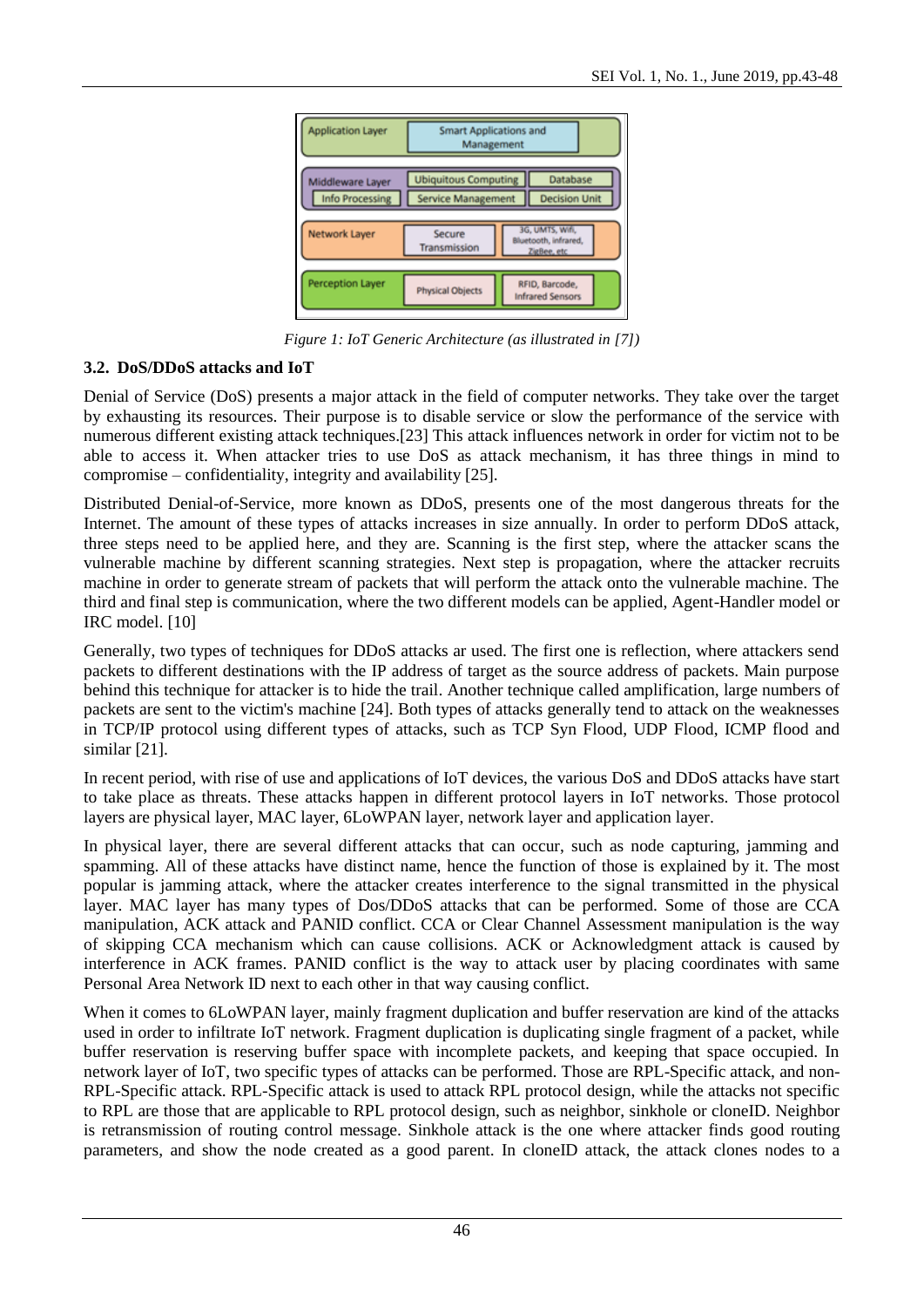

*Figure 1: IoT Generic Architecture (as illustrated in [7])*

### **3.2. DoS/DDoS attacks and IoT**

Denial of Service (DoS) presents a major attack in the field of computer networks. They take over the target by exhausting its resources. Their purpose is to disable service or slow the performance of the service with numerous different existing attack techniques.[23] This attack influences network in order for victim not to be able to access it. When attacker tries to use DoS as attack mechanism, it has three things in mind to compromise – confidentiality, integrity and availability [25].

Distributed Denial-of-Service, more known as DDoS, presents one of the most dangerous threats for the Internet. The amount of these types of attacks increases in size annually. In order to perform DDoS attack, three steps need to be applied here, and they are. Scanning is the first step, where the attacker scans the vulnerable machine by different scanning strategies. Next step is propagation, where the attacker recruits machine in order to generate stream of packets that will perform the attack onto the vulnerable machine. The third and final step is communication, where the two different models can be applied, Agent-Handler model or IRC model. [10]

Generally, two types of techniques for DDoS attacks ar used. The first one is reflection, where attackers send packets to different destinations with the IP address of target as the source address of packets. Main purpose behind this technique for attacker is to hide the trail. Another technique called amplification, large numbers of packets are sent to the victim's machine [24]. Both types of attacks generally tend to attack on the weaknesses in TCP/IP protocol using different types of attacks, such as TCP Syn Flood, UDP Flood, ICMP flood and similar [21].

In recent period, with rise of use and applications of IoT devices, the various DoS and DDoS attacks have start to take place as threats. These attacks happen in different protocol layers in IoT networks. Those protocol layers are physical layer, MAC layer, 6LoWPAN layer, network layer and application layer.

In physical layer, there are several different attacks that can occur, such as node capturing, jamming and spamming. All of these attacks have distinct name, hence the function of those is explained by it. The most popular is jamming attack, where the attacker creates interference to the signal transmitted in the physical layer. MAC layer has many types of Dos/DDoS attacks that can be performed. Some of those are CCA manipulation, ACK attack and PANID conflict. CCA or Clear Channel Assessment manipulation is the way of skipping CCA mechanism which can cause collisions. ACK or Acknowledgment attack is caused by interference in ACK frames. PANID conflict is the way to attack user by placing coordinates with same Personal Area Network ID next to each other in that way causing conflict.

When it comes to 6LoWPAN layer, mainly fragment duplication and buffer reservation are kind of the attacks used in order to infiltrate IoT network. Fragment duplication is duplicating single fragment of a packet, while buffer reservation is reserving buffer space with incomplete packets, and keeping that space occupied. In network layer of IoT, two specific types of attacks can be performed. Those are RPL-Specific attack, and non-RPL-Specific attack. RPL-Specific attack is used to attack RPL protocol design, while the attacks not specific to RPL are those that are applicable to RPL protocol design, such as neighbor, sinkhole or cloneID. Neighbor is retransmission of routing control message. Sinkhole attack is the one where attacker finds good routing parameters, and show the node created as a good parent. In cloneID attack, the attack clones nodes to a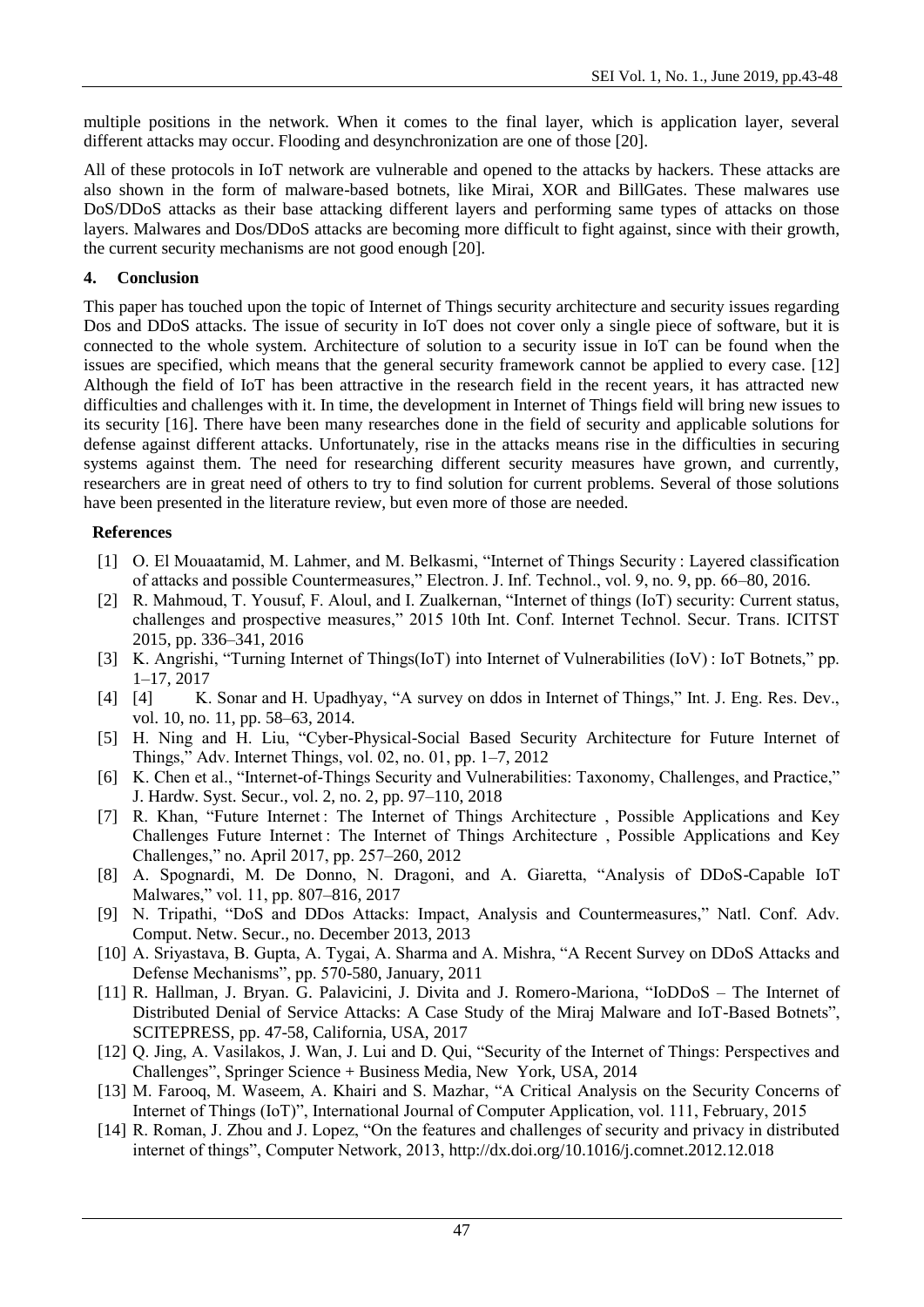multiple positions in the network. When it comes to the final layer, which is application layer, several different attacks may occur. Flooding and desynchronization are one of those [20].

All of these protocols in IoT network are vulnerable and opened to the attacks by hackers. These attacks are also shown in the form of malware-based botnets, like Mirai, XOR and BillGates. These malwares use DoS/DDoS attacks as their base attacking different layers and performing same types of attacks on those layers. Malwares and Dos/DDoS attacks are becoming more difficult to fight against, since with their growth, the current security mechanisms are not good enough [20].

#### **4. Conclusion**

This paper has touched upon the topic of Internet of Things security architecture and security issues regarding Dos and DDoS attacks. The issue of security in IoT does not cover only a single piece of software, but it is connected to the whole system. Architecture of solution to a security issue in IoT can be found when the issues are specified, which means that the general security framework cannot be applied to every case. [12] Although the field of IoT has been attractive in the research field in the recent years, it has attracted new difficulties and challenges with it. In time, the development in Internet of Things field will bring new issues to its security [16]. There have been many researches done in the field of security and applicable solutions for defense against different attacks. Unfortunately, rise in the attacks means rise in the difficulties in securing systems against them. The need for researching different security measures have grown, and currently, researchers are in great need of others to try to find solution for current problems. Several of those solutions have been presented in the literature review, but even more of those are needed.

### **References**

- [1] O. El Mouaatamid, M. Lahmer, and M. Belkasmi, "Internet of Things Security : Layered classification of attacks and possible Countermeasures," Electron. J. Inf. Technol., vol. 9, no. 9, pp. 66–80, 2016.
- [2] R. Mahmoud, T. Yousuf, F. Aloul, and I. Zualkernan, "Internet of things (IoT) security: Current status, challenges and prospective measures," 2015 10th Int. Conf. Internet Technol. Secur. Trans. ICITST 2015, pp. 336–341, 2016
- [3] K. Angrishi, "Turning Internet of Things(IoT) into Internet of Vulnerabilities (IoV) : IoT Botnets," pp. 1–17, 2017
- [4] [4] K. Sonar and H. Upadhyay, "A survey on ddos in Internet of Things," Int. J. Eng. Res. Dev., vol. 10, no. 11, pp. 58–63, 2014.
- [5] H. Ning and H. Liu, "Cyber-Physical-Social Based Security Architecture for Future Internet of Things," Adv. Internet Things, vol. 02, no. 01, pp. 1–7, 2012
- [6] K. Chen et al., "Internet-of-Things Security and Vulnerabilities: Taxonomy, Challenges, and Practice," J. Hardw. Syst. Secur., vol. 2, no. 2, pp. 97–110, 2018
- [7] R. Khan, "Future Internet: The Internet of Things Architecture, Possible Applications and Key Challenges Future Internet : The Internet of Things Architecture , Possible Applications and Key Challenges," no. April 2017, pp. 257–260, 2012
- [8] A. Spognardi, M. De Donno, N. Dragoni, and A. Giaretta, "Analysis of DDoS-Capable IoT Malwares," vol. 11, pp. 807–816, 2017
- [9] N. Tripathi, "DoS and DDos Attacks: Impact, Analysis and Countermeasures," Natl. Conf. Adv. Comput. Netw. Secur., no. December 2013, 2013
- [10] A. Sriyastava, B. Gupta, A. Tygai, A. Sharma and A. Mishra, "A Recent Survey on DDoS Attacks and Defense Mechanisms", pp. 570-580, January, 2011
- [11] R. Hallman, J. Bryan. G. Palavicini, J. Divita and J. Romero-Mariona, "IoDDoS The Internet of Distributed Denial of Service Attacks: A Case Study of the Miraj Malware and IoT-Based Botnets", SCITEPRESS, pp. 47-58, California, USA, 2017
- [12] Q. Jing, A. Vasilakos, J. Wan, J. Lui and D. Qui, "Security of the Internet of Things: Perspectives and Challenges", Springer Science + Business Media, New York, USA, 2014
- [13] M. Farooq, M. Waseem, A. Khairi and S. Mazhar, "A Critical Analysis on the Security Concerns of Internet of Things (IoT)", International Journal of Computer Application, vol. 111, February, 2015
- [14] R. Roman, J. Zhou and J. Lopez, "On the features and challenges of security and privacy in distributed internet of things", Computer Network, 2013,<http://dx.doi.org/10.1016/j.comnet.2012.12.018>